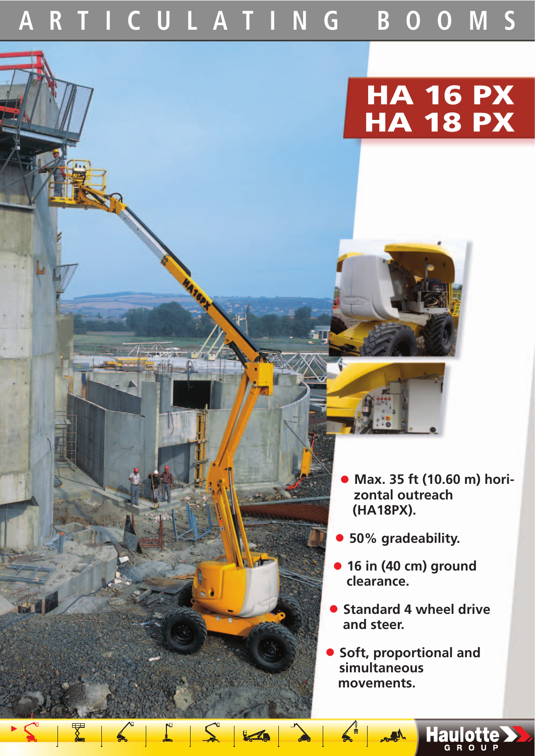**ARTICULATING BOOMS**

 $S<sub>1</sub>$ 

**ONE** 

 $z_{-5}$ 

# **HA 16 PX HA 18 PX**

- **Max. 35 ft (10.60 m) horizontal outreach (HA18PX).**
- **50% gradeability.**
- **16 in (40 cm) ground clearance.**
- **Standard 4 wheel drive and steer.**
- **Soft, proportional and simultaneous movements.**

 $M_{\odot}$ 

Haulotte >>